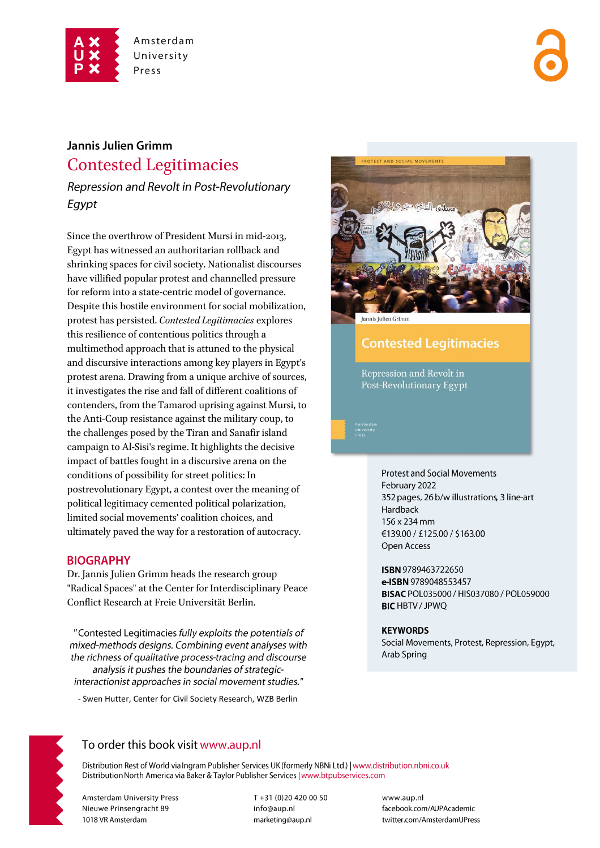

# Jannis Julien Grimm **Contested Legitimacies**

Repression and Revolt in Post-Revolutionary Egypt

Since the overthrow of President Mursi in mid-2013, Egypt has witnessed an authoritarian rollback and shrinking spaces for civil society. Nationalist discourses have villified popular protest and channelled pressure for reform into a state-centric model of governance. Despite this hostile environment for social mobilization, protest has persisted. Contested Legitimacies explores this resilience of contentious politics through a multimethod approach that is attuned to the physical and discursive interactions among key players in Egypt's protest arena. Drawing from a unique archive of sources, it investigates the rise and fall of different coalitions of contenders, from the Tamarod uprising against Mursi, to the Anti-Coup resistance against the military coup, to the challenges posed by the Tiran and Sanafir island campaign to Al-Sisi's regime. It highlights the decisive impact of battles fought in a discursive arena on the conditions of possibility for street politics: In postrevolutionary Egypt, a contest over the meaning of political legitimacy cemented political polarization, limited social movements' coalition choices, and ultimately paved the way for a restoration of autocracy.

### **BIOGRAPHY**

Dr. Jannis Julien Grimm heads the research group "Radical Spaces" at the Center for Interdisciplinary Peace Conflict Research at Freie Universität Berlin.

"Contested Legitimacies fully exploits the potentials of mixed-methods designs. Combining event analyses with the richness of qualitative process-tracing and discourse analysis it pushes the boundaries of strategicinteractionist approaches in social movement studies."

- Swen Hutter, Center for Civil Society Research, WZB Berlin



Jannis Julien Grimm

## **Contested Legitimacies**

Repression and Revolt in Post-Revolutionary Egypt

> **Protest and Social Movements** February 2022 352 pages, 26 b/w illustrations, 3 line-art Hardback 156 x 234 mm €139.00 / £125.00 / \$163.00 Open Access

ISBN 9789463722650 e-ISBN 9789048553457 BISAC POL035000 / HIS037080 / POL059000 **BIC HBTV / JPWQ** 

#### **KEYWORDS**

Social Movements, Protest, Repression, Egypt, Arab Spring



### To order this book visit www.aup.nl

Distribution Rest of World via Ingram Publisher Services UK (formerly NBNi Ltd.) | www.distribution.nbni.co.uk Distribution North America via Baker & Taylor Publisher Services | www.btpubservices.com

**Amsterdam University Press** Nieuwe Prinsengracht 89 1018 VR Amsterdam

T+31 (0)20 420 00 50 info@aup.nl marketing@aup.nl

www.aup.nl facebook.com/AUPAcademic twitter.com/AmsterdamUPress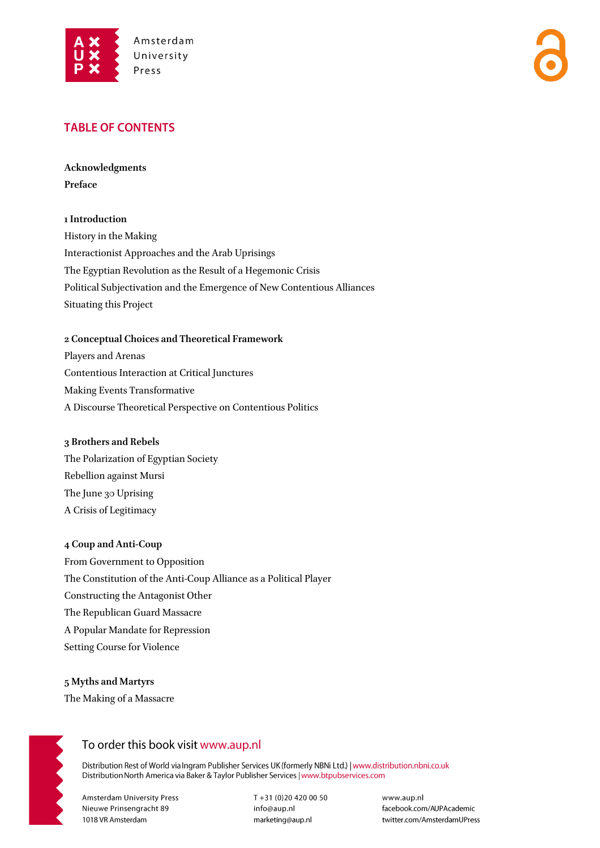

### **TABLE OF CONTENTS**

**Acknowledgments Preface**

#### **1 Introduction**

History in the Making Interactionist Approaches and the Arab Uprisings The Egyptian Revolution as the Result of a Hegemonic Crisis Political Subjectivation and the Emergence of New Contentious Alliances Situating this Project

#### **2 Conceptual Choices and Theoretical Framework**

Players and Arenas Contentious Interaction at Critical Junctures Making Events Transformative A Discourse Theoretical Perspective on Contentious Politics

#### **3 Brothers and Rebels**

The Polarization of Egyptian Society Rebellion against Mursi The June 30 Uprising A Crisis of Legitimacy

#### **4 Coup and Anti-Coup**

From Government to Opposition The Constitution of the Anti-Coup Alliance as a Political Player Constructing the Antagonist Other The Republican Guard Massacre A Popular Mandate for Repression Setting Course for Violence

**5 Myths and Martyrs**  The Making of a Massacre



## To order this book visit www.aup.nl

Distribution Rest of World via Ingram Publisher Services UK (formerly NBNi Ltd.) | www.distribution.nbni.co.uk Distribution North America via Baker & Taylor Publisher Services | www.btpubservices.com

**Amsterdam University Press** Nieuwe Prinsengracht 89 1018 VR Amsterdam

T+31 (0)20 420 00 50 info@aup.nl marketing@aup.nl

www.aup.nl facebook.com/AUPAcademic twitter.com/AmsterdamUPress